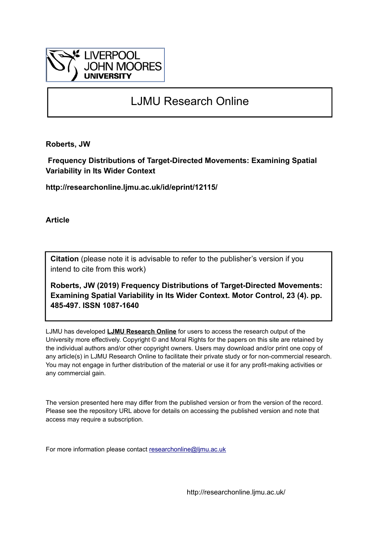

# LJMU Research Online

**Roberts, JW**

 **Frequency Distributions of Target-Directed Movements: Examining Spatial Variability in Its Wider Context**

**http://researchonline.ljmu.ac.uk/id/eprint/12115/**

**Article**

**Citation** (please note it is advisable to refer to the publisher's version if you intend to cite from this work)

**Roberts, JW (2019) Frequency Distributions of Target-Directed Movements: Examining Spatial Variability in Its Wider Context. Motor Control, 23 (4). pp. 485-497. ISSN 1087-1640** 

LJMU has developed **[LJMU Research Online](http://researchonline.ljmu.ac.uk/)** for users to access the research output of the University more effectively. Copyright © and Moral Rights for the papers on this site are retained by the individual authors and/or other copyright owners. Users may download and/or print one copy of any article(s) in LJMU Research Online to facilitate their private study or for non-commercial research. You may not engage in further distribution of the material or use it for any profit-making activities or any commercial gain.

The version presented here may differ from the published version or from the version of the record. Please see the repository URL above for details on accessing the published version and note that access may require a subscription.

For more information please contact [researchonline@ljmu.ac.uk](mailto:researchonline@ljmu.ac.uk)

http://researchonline.ljmu.ac.uk/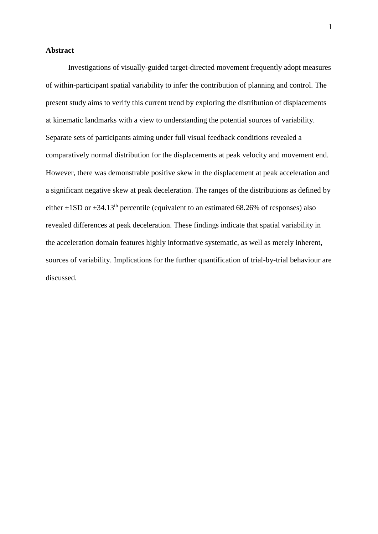#### **Abstract**

Investigations of visually-guided target-directed movement frequently adopt measures of within-participant spatial variability to infer the contribution of planning and control. The present study aims to verify this current trend by exploring the distribution of displacements at kinematic landmarks with a view to understanding the potential sources of variability. Separate sets of participants aiming under full visual feedback conditions revealed a comparatively normal distribution for the displacements at peak velocity and movement end. However, there was demonstrable positive skew in the displacement at peak acceleration and a significant negative skew at peak deceleration. The ranges of the distributions as defined by either  $\pm$ 1SD or  $\pm$ 34.13<sup>th</sup> percentile (equivalent to an estimated 68.26% of responses) also revealed differences at peak deceleration. These findings indicate that spatial variability in the acceleration domain features highly informative systematic, as well as merely inherent, sources of variability. Implications for the further quantification of trial-by-trial behaviour are discussed.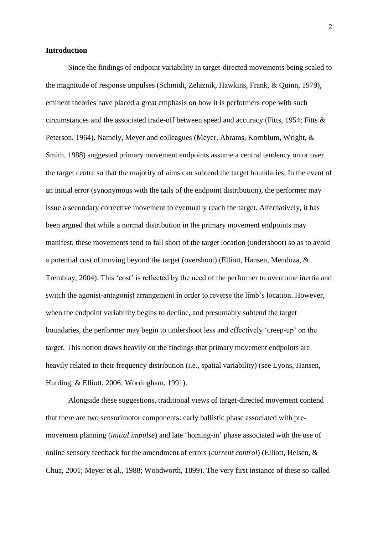#### **Introduction**

Since the findings of endpoint variability in target-directed movements being scaled to the magnitude of response impulses (Schmidt, Zelaznik, Hawkins, Frank, & Quinn, 1979), eminent theories have placed a great emphasis on how it is performers cope with such circumstances and the associated trade-off between speed and accuracy (Fitts, 1954; Fitts & Peterson, 1964). Namely, Meyer and colleagues (Meyer, Abrams, Kornblum, Wright, & Smith, 1988) suggested primary movement endpoints assume a central tendency on or over the target centre so that the majority of aims can subtend the target boundaries. In the event of an initial error (synonymous with the tails of the endpoint distribution), the performer may issue a secondary corrective movement to eventually reach the target. Alternatively, it has been argued that while a normal distribution in the primary movement endpoints may manifest, these movements tend to fall short of the target location (undershoot) so as to avoid a potential cost of moving beyond the target (overshoot) (Elliott, Hansen, Mendoza, & Tremblay, 2004). This 'cost' is reflected by the need of the performer to overcome inertia and switch the agonist-antagonist arrangement in order to reverse the limb's location. However, when the endpoint variability begins to decline, and presumably subtend the target boundaries, the performer may begin to undershoot less and effectively 'creep-up' on the target. This notion draws heavily on the findings that primary movement endpoints are heavily related to their frequency distribution (i.e., spatial variability) (see Lyons, Hansen, Hurding, & Elliott, 2006; Worringham, 1991).

Alongside these suggestions, traditional views of target-directed movement contend that there are two sensorimotor components: early ballistic phase associated with premovement planning (*initial impulse*) and late 'homing-in' phase associated with the use of online sensory feedback for the amendment of errors (*current control*) (Elliott, Helsen, & Chua, 2001; Meyer et al., 1988; Woodworth, 1899). The very first instance of these so-called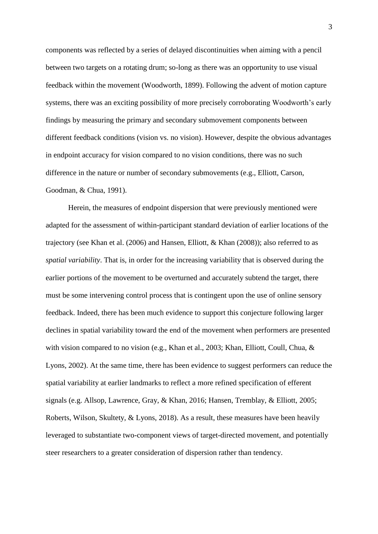components was reflected by a series of delayed discontinuities when aiming with a pencil between two targets on a rotating drum; so-long as there was an opportunity to use visual feedback within the movement (Woodworth, 1899). Following the advent of motion capture systems, there was an exciting possibility of more precisely corroborating Woodworth's early findings by measuring the primary and secondary submovement components between different feedback conditions (vision vs. no vision). However, despite the obvious advantages in endpoint accuracy for vision compared to no vision conditions, there was no such difference in the nature or number of secondary submovements (e.g., Elliott, Carson, Goodman, & Chua, 1991).

Herein, the measures of endpoint dispersion that were previously mentioned were adapted for the assessment of within-participant standard deviation of earlier locations of the trajectory (see Khan et al. (2006) and Hansen, Elliott, & Khan (2008)); also referred to as *spatial variability*. That is, in order for the increasing variability that is observed during the earlier portions of the movement to be overturned and accurately subtend the target, there must be some intervening control process that is contingent upon the use of online sensory feedback. Indeed, there has been much evidence to support this conjecture following larger declines in spatial variability toward the end of the movement when performers are presented with vision compared to no vision (e.g., Khan et al., 2003; Khan, Elliott, Coull, Chua, & Lyons, 2002). At the same time, there has been evidence to suggest performers can reduce the spatial variability at earlier landmarks to reflect a more refined specification of efferent signals (e.g. Allsop, Lawrence, Gray, & Khan, 2016; Hansen, Tremblay, & Elliott, 2005; Roberts, Wilson, Skultety, & Lyons, 2018). As a result, these measures have been heavily leveraged to substantiate two-component views of target-directed movement, and potentially steer researchers to a greater consideration of dispersion rather than tendency.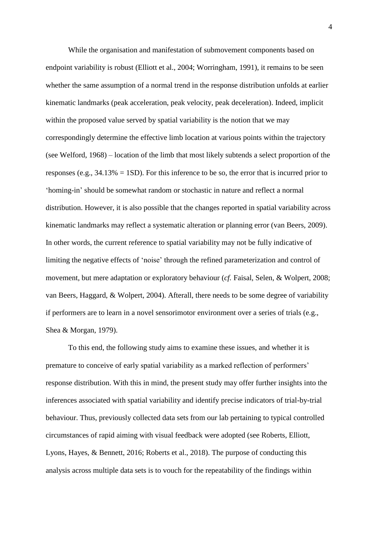While the organisation and manifestation of submovement components based on endpoint variability is robust (Elliott et al., 2004; Worringham, 1991), it remains to be seen whether the same assumption of a normal trend in the response distribution unfolds at earlier kinematic landmarks (peak acceleration, peak velocity, peak deceleration). Indeed, implicit within the proposed value served by spatial variability is the notion that we may correspondingly determine the effective limb location at various points within the trajectory (see Welford, 1968) – location of the limb that most likely subtends a select proportion of the responses (e.g., 34.13% = 1SD). For this inference to be so, the error that is incurred prior to 'homing-in' should be somewhat random or stochastic in nature and reflect a normal distribution. However, it is also possible that the changes reported in spatial variability across kinematic landmarks may reflect a systematic alteration or planning error (van Beers, 2009). In other words, the current reference to spatial variability may not be fully indicative of limiting the negative effects of 'noise' through the refined parameterization and control of movement, but mere adaptation or exploratory behaviour (*cf.* Faisal, Selen, & Wolpert, 2008; van Beers, Haggard, & Wolpert, 2004). Afterall, there needs to be some degree of variability if performers are to learn in a novel sensorimotor environment over a series of trials (e.g., Shea & Morgan, 1979).

To this end, the following study aims to examine these issues, and whether it is premature to conceive of early spatial variability as a marked reflection of performers' response distribution. With this in mind, the present study may offer further insights into the inferences associated with spatial variability and identify precise indicators of trial-by-trial behaviour. Thus, previously collected data sets from our lab pertaining to typical controlled circumstances of rapid aiming with visual feedback were adopted (see Roberts, Elliott, Lyons, Hayes, & Bennett, 2016; Roberts et al., 2018). The purpose of conducting this analysis across multiple data sets is to vouch for the repeatability of the findings within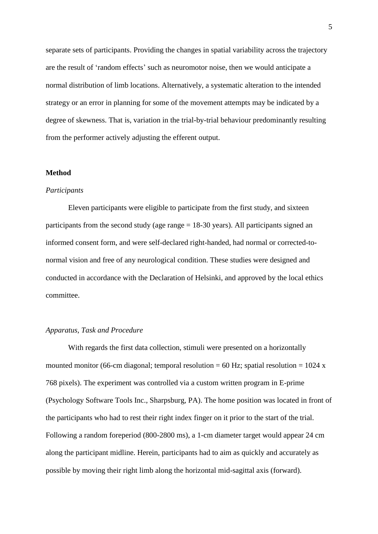separate sets of participants. Providing the changes in spatial variability across the trajectory are the result of 'random effects' such as neuromotor noise, then we would anticipate a normal distribution of limb locations. Alternatively, a systematic alteration to the intended strategy or an error in planning for some of the movement attempts may be indicated by a degree of skewness. That is, variation in the trial-by-trial behaviour predominantly resulting from the performer actively adjusting the efferent output.

#### **Method**

#### *Participants*

Eleven participants were eligible to participate from the first study, and sixteen participants from the second study (age range = 18-30 years). All participants signed an informed consent form, and were self-declared right-handed, had normal or corrected-tonormal vision and free of any neurological condition. These studies were designed and conducted in accordance with the Declaration of Helsinki, and approved by the local ethics committee.

# *Apparatus, Task and Procedure*

With regards the first data collection, stimuli were presented on a horizontally mounted monitor (66-cm diagonal; temporal resolution = 60 Hz; spatial resolution = 1024 x 768 pixels). The experiment was controlled via a custom written program in E-prime (Psychology Software Tools Inc., Sharpsburg, PA). The home position was located in front of the participants who had to rest their right index finger on it prior to the start of the trial. Following a random foreperiod (800-2800 ms), a 1-cm diameter target would appear 24 cm along the participant midline. Herein, participants had to aim as quickly and accurately as possible by moving their right limb along the horizontal mid-sagittal axis (forward).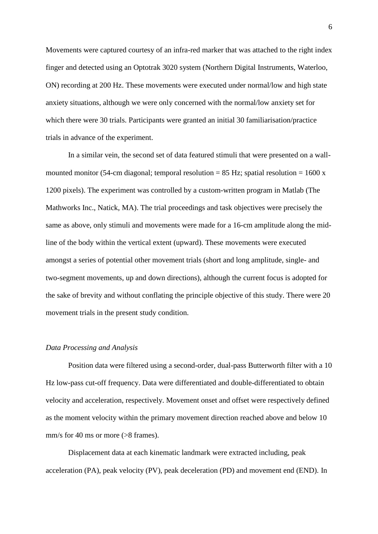Movements were captured courtesy of an infra-red marker that was attached to the right index finger and detected using an Optotrak 3020 system (Northern Digital Instruments, Waterloo, ON) recording at 200 Hz. These movements were executed under normal/low and high state anxiety situations, although we were only concerned with the normal/low anxiety set for which there were 30 trials. Participants were granted an initial 30 familiarisation/practice trials in advance of the experiment.

In a similar vein, the second set of data featured stimuli that were presented on a wallmounted monitor (54-cm diagonal; temporal resolution = 85 Hz; spatial resolution = 1600 x 1200 pixels). The experiment was controlled by a custom-written program in Matlab (The Mathworks Inc., Natick, MA). The trial proceedings and task objectives were precisely the same as above, only stimuli and movements were made for a 16-cm amplitude along the midline of the body within the vertical extent (upward). These movements were executed amongst a series of potential other movement trials (short and long amplitude, single- and two-segment movements, up and down directions), although the current focus is adopted for the sake of brevity and without conflating the principle objective of this study. There were 20 movement trials in the present study condition.

#### *Data Processing and Analysis*

Position data were filtered using a second-order, dual-pass Butterworth filter with a 10 Hz low-pass cut-off frequency. Data were differentiated and double-differentiated to obtain velocity and acceleration, respectively. Movement onset and offset were respectively defined as the moment velocity within the primary movement direction reached above and below 10 mm/s for 40 ms or more (>8 frames).

Displacement data at each kinematic landmark were extracted including, peak acceleration (PA), peak velocity (PV), peak deceleration (PD) and movement end (END). In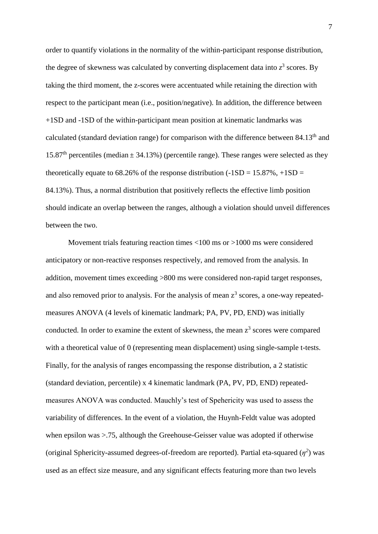order to quantify violations in the normality of the within-participant response distribution, the degree of skewness was calculated by converting displacement data into  $z^3$  scores. By taking the third moment, the z-scores were accentuated while retaining the direction with respect to the participant mean (i.e., position/negative). In addition, the difference between +1SD and -1SD of the within-participant mean position at kinematic landmarks was calculated (standard deviation range) for comparison with the difference between  $84.13<sup>th</sup>$  and 15.87<sup>th</sup> percentiles (median  $\pm$  34.13%) (percentile range). These ranges were selected as they theoretically equate to 68.26% of the response distribution  $(-1SD = 15.87\%, +1SD =$ 84.13%). Thus, a normal distribution that positively reflects the effective limb position should indicate an overlap between the ranges, although a violation should unveil differences between the two.

Movement trials featuring reaction times <100 ms or >1000 ms were considered anticipatory or non-reactive responses respectively, and removed from the analysis. In addition, movement times exceeding >800 ms were considered non-rapid target responses, and also removed prior to analysis. For the analysis of mean  $z<sup>3</sup>$  scores, a one-way repeatedmeasures ANOVA (4 levels of kinematic landmark; PA, PV, PD, END) was initially conducted. In order to examine the extent of skewness, the mean  $z<sup>3</sup>$  scores were compared with a theoretical value of 0 (representing mean displacement) using single-sample t-tests. Finally, for the analysis of ranges encompassing the response distribution, a 2 statistic (standard deviation, percentile) x 4 kinematic landmark (PA, PV, PD, END) repeatedmeasures ANOVA was conducted. Mauchly's test of Spehericity was used to assess the variability of differences. In the event of a violation, the Huynh-Feldt value was adopted when epsilon was >.75, although the Greehouse-Geisser value was adopted if otherwise (original Sphericity-assumed degrees-of-freedom are reported). Partial eta-squared  $(\eta^2)$  was used as an effect size measure, and any significant effects featuring more than two levels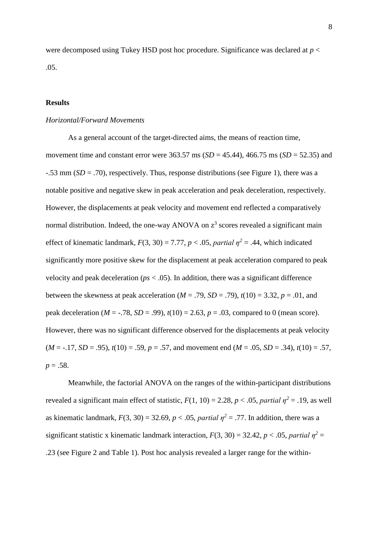were decomposed using Tukey HSD post hoc procedure. Significance was declared at *p* < .05.

# **Results**

#### *Horizontal/Forward Movements*

As a general account of the target-directed aims, the means of reaction time, movement time and constant error were 363.57 ms (*SD* = 45.44), 466.75 ms (*SD* = 52.35) and -.53 mm (*SD* = .70), respectively. Thus, response distributions (see Figure 1), there was a notable positive and negative skew in peak acceleration and peak deceleration, respectively. However, the displacements at peak velocity and movement end reflected a comparatively normal distribution. Indeed, the one-way ANOVA on  $z<sup>3</sup>$  scores revealed a significant main effect of kinematic landmark,  $F(3, 30) = 7.77$ ,  $p < .05$ , *partial*  $\eta^2 = .44$ , which indicated significantly more positive skew for the displacement at peak acceleration compared to peak velocity and peak deceleration (*ps* < .05). In addition, there was a significant difference between the skewness at peak acceleration ( $M = .79$ ,  $SD = .79$ ),  $t(10) = 3.32$ ,  $p = .01$ , and peak deceleration ( $M = -.78$ ,  $SD = .99$ ),  $t(10) = 2.63$ ,  $p = .03$ , compared to 0 (mean score). However, there was no significant difference observed for the displacements at peak velocity  $(M = -.17, SD = .95)$ ,  $t(10) = .59$ ,  $p = .57$ , and movement end  $(M = .05, SD = .34)$ ,  $t(10) = .57$ , *p* = .58.

Meanwhile, the factorial ANOVA on the ranges of the within-participant distributions revealed a significant main effect of statistic,  $F(1, 10) = 2.28$ ,  $p < .05$ , *partial*  $n^2 = .19$ , as well as kinematic landmark,  $F(3, 30) = 32.69$ ,  $p < .05$ , *partial*  $\eta^2 = .77$ . In addition, there was a significant statistic x kinematic landmark interaction,  $F(3, 30) = 32.42$ ,  $p < .05$ , *partial*  $\eta^2 =$ .23 (see Figure 2 and Table 1). Post hoc analysis revealed a larger range for the within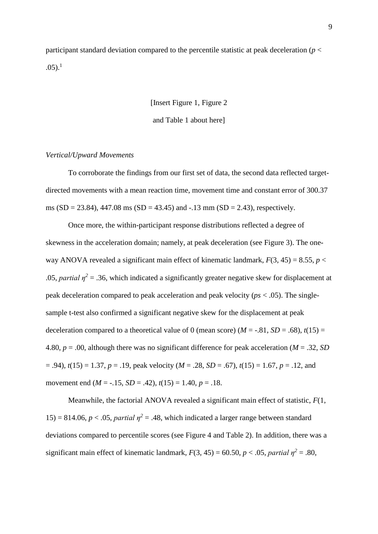participant standard deviation compared to the percentile statistic at peak deceleration (*p* <  $.05$ ).<sup>1</sup>

[Insert Figure 1, Figure 2

and Table 1 about here]

### *Vertical/Upward Movements*

To corroborate the findings from our first set of data, the second data reflected targetdirected movements with a mean reaction time, movement time and constant error of 300.37 ms  $(SD = 23.84)$ , 447.08 ms  $(SD = 43.45)$  and  $-13$  mm  $(SD = 2.43)$ , respectively.

Once more, the within-participant response distributions reflected a degree of skewness in the acceleration domain; namely, at peak deceleration (see Figure 3). The oneway ANOVA revealed a significant main effect of kinematic landmark,  $F(3, 45) = 8.55$ ,  $p <$ .05, *partial*  $\eta^2$  = .36, which indicated a significantly greater negative skew for displacement at peak deceleration compared to peak acceleration and peak velocity (*ps* < .05). The singlesample t-test also confirmed a significant negative skew for the displacement at peak deceleration compared to a theoretical value of 0 (mean score) ( $M = -.81$ ,  $SD = .68$ ),  $t(15) =$ 4.80, *p* = .00, although there was no significant difference for peak acceleration (*M* = .32, *SD* = .94), *t*(15) = 1.37, *p* = .19, peak velocity (*M* = .28, *SD* = .67), *t*(15) = 1.67, *p* = .12, and movement end (*M* = -.15, *SD* = .42), *t*(15) = 1.40, *p* = .18.

Meanwhile, the factorial ANOVA revealed a significant main effect of statistic, *F*(1,  $15$ ) = 814.06, *p* < .05, *partial*  $n^2$  = .48, which indicated a larger range between standard deviations compared to percentile scores (see Figure 4 and Table 2). In addition, there was a significant main effect of kinematic landmark,  $F(3, 45) = 60.50$ ,  $p < .05$ , *partial*  $\eta^2 = .80$ ,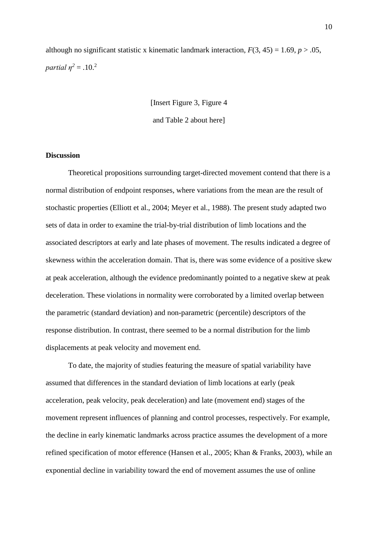although no significant statistic x kinematic landmark interaction,  $F(3, 45) = 1.69$ ,  $p > .05$ , *partial*  $\eta^2 = .10$ <sup>2</sup>

[Insert Figure 3, Figure 4

and Table 2 about here]

#### **Discussion**

Theoretical propositions surrounding target-directed movement contend that there is a normal distribution of endpoint responses, where variations from the mean are the result of stochastic properties (Elliott et al., 2004; Meyer et al., 1988). The present study adapted two sets of data in order to examine the trial-by-trial distribution of limb locations and the associated descriptors at early and late phases of movement. The results indicated a degree of skewness within the acceleration domain. That is, there was some evidence of a positive skew at peak acceleration, although the evidence predominantly pointed to a negative skew at peak deceleration. These violations in normality were corroborated by a limited overlap between the parametric (standard deviation) and non-parametric (percentile) descriptors of the response distribution. In contrast, there seemed to be a normal distribution for the limb displacements at peak velocity and movement end.

To date, the majority of studies featuring the measure of spatial variability have assumed that differences in the standard deviation of limb locations at early (peak acceleration, peak velocity, peak deceleration) and late (movement end) stages of the movement represent influences of planning and control processes, respectively. For example, the decline in early kinematic landmarks across practice assumes the development of a more refined specification of motor efference (Hansen et al., 2005; Khan & Franks, 2003), while an exponential decline in variability toward the end of movement assumes the use of online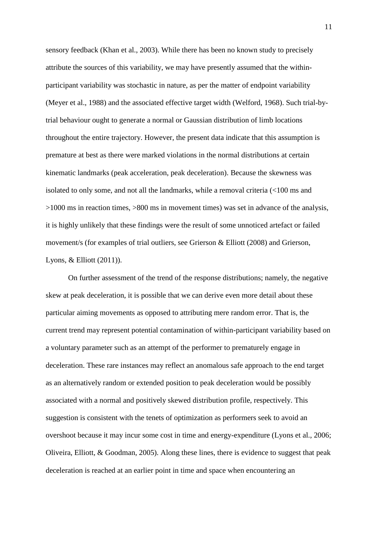sensory feedback (Khan et al., 2003). While there has been no known study to precisely attribute the sources of this variability, we may have presently assumed that the withinparticipant variability was stochastic in nature, as per the matter of endpoint variability (Meyer et al., 1988) and the associated effective target width (Welford, 1968). Such trial-bytrial behaviour ought to generate a normal or Gaussian distribution of limb locations throughout the entire trajectory. However, the present data indicate that this assumption is premature at best as there were marked violations in the normal distributions at certain kinematic landmarks (peak acceleration, peak deceleration). Because the skewness was isolated to only some, and not all the landmarks, while a removal criteria (<100 ms and >1000 ms in reaction times, >800 ms in movement times) was set in advance of the analysis, it is highly unlikely that these findings were the result of some unnoticed artefact or failed movement/s (for examples of trial outliers, see Grierson & Elliott (2008) and Grierson, Lyons, & Elliott (2011)).

On further assessment of the trend of the response distributions; namely, the negative skew at peak deceleration, it is possible that we can derive even more detail about these particular aiming movements as opposed to attributing mere random error. That is, the current trend may represent potential contamination of within-participant variability based on a voluntary parameter such as an attempt of the performer to prematurely engage in deceleration. These rare instances may reflect an anomalous safe approach to the end target as an alternatively random or extended position to peak deceleration would be possibly associated with a normal and positively skewed distribution profile, respectively. This suggestion is consistent with the tenets of optimization as performers seek to avoid an overshoot because it may incur some cost in time and energy-expenditure (Lyons et al., 2006; Oliveira, Elliott, & Goodman, 2005). Along these lines, there is evidence to suggest that peak deceleration is reached at an earlier point in time and space when encountering an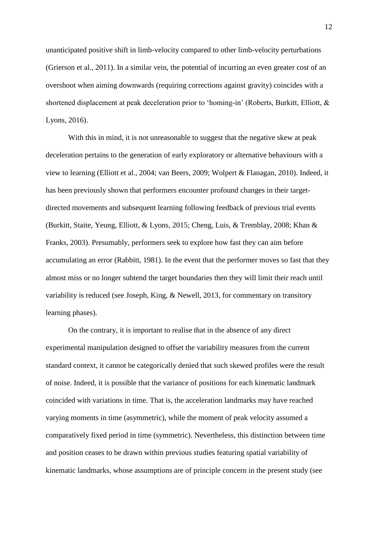unanticipated positive shift in limb-velocity compared to other limb-velocity perturbations (Grierson et al., 2011). In a similar vein, the potential of incurring an even greater cost of an overshoot when aiming downwards (requiring corrections against gravity) coincides with a shortened displacement at peak deceleration prior to 'homing-in' (Roberts, Burkitt, Elliott, & Lyons, 2016).

With this in mind, it is not unreasonable to suggest that the negative skew at peak deceleration pertains to the generation of early exploratory or alternative behaviours with a view to learning (Elliott et al., 2004; van Beers, 2009; Wolpert & Flanagan, 2010). Indeed, it has been previously shown that performers encounter profound changes in their targetdirected movements and subsequent learning following feedback of previous trial events (Burkitt, Staite, Yeung, Elliott, & Lyons, 2015; Cheng, Luis, & Tremblay, 2008; Khan & Franks, 2003). Presumably, performers seek to explore how fast they can aim before accumulating an error (Rabbitt, 1981). In the event that the performer moves so fast that they almost miss or no longer subtend the target boundaries then they will limit their reach until variability is reduced (see Joseph, King, & Newell, 2013, for commentary on transitory learning phases).

On the contrary, it is important to realise that in the absence of any direct experimental manipulation designed to offset the variability measures from the current standard context, it cannot be categorically denied that such skewed profiles were the result of noise. Indeed, it is possible that the variance of positions for each kinematic landmark coincided with variations in time. That is, the acceleration landmarks may have reached varying moments in time (asymmetric), while the moment of peak velocity assumed a comparatively fixed period in time (symmetric). Nevertheless, this distinction between time and position ceases to be drawn within previous studies featuring spatial variability of kinematic landmarks, whose assumptions are of principle concern in the present study (see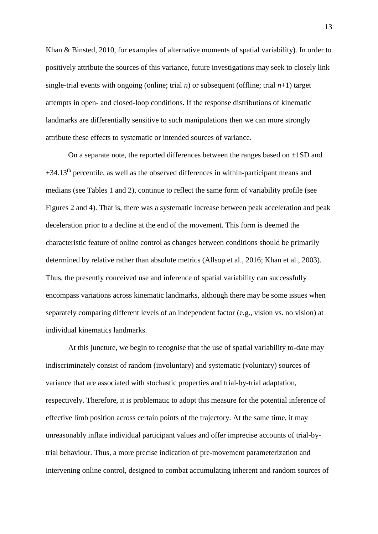Khan & Binsted, 2010, for examples of alternative moments of spatial variability). In order to positively attribute the sources of this variance, future investigations may seek to closely link single-trial events with ongoing (online; trial *n*) or subsequent (offline; trial *n*+1) target attempts in open- and closed-loop conditions. If the response distributions of kinematic landmarks are differentially sensitive to such manipulations then we can more strongly attribute these effects to systematic or intended sources of variance.

On a separate note, the reported differences between the ranges based on  $\pm$ 1SD and  $\pm$ 34.13<sup>th</sup> percentile, as well as the observed differences in within-participant means and medians (see Tables 1 and 2), continue to reflect the same form of variability profile (see Figures 2 and 4). That is, there was a systematic increase between peak acceleration and peak deceleration prior to a decline at the end of the movement. This form is deemed the characteristic feature of online control as changes between conditions should be primarily determined by relative rather than absolute metrics (Allsop et al., 2016; Khan et al., 2003). Thus, the presently conceived use and inference of spatial variability can successfully encompass variations across kinematic landmarks, although there may be some issues when separately comparing different levels of an independent factor (e.g., vision vs. no vision) at individual kinematics landmarks.

At this juncture, we begin to recognise that the use of spatial variability to-date may indiscriminately consist of random (involuntary) and systematic (voluntary) sources of variance that are associated with stochastic properties and trial-by-trial adaptation, respectively. Therefore, it is problematic to adopt this measure for the potential inference of effective limb position across certain points of the trajectory. At the same time, it may unreasonably inflate individual participant values and offer imprecise accounts of trial-bytrial behaviour. Thus, a more precise indication of pre-movement parameterization and intervening online control, designed to combat accumulating inherent and random sources of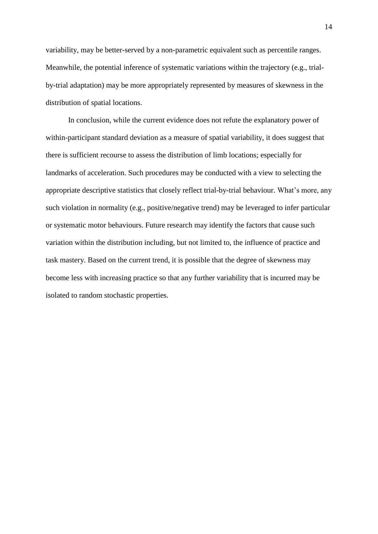variability, may be better-served by a non-parametric equivalent such as percentile ranges. Meanwhile, the potential inference of systematic variations within the trajectory (e.g., trialby-trial adaptation) may be more appropriately represented by measures of skewness in the distribution of spatial locations.

In conclusion, while the current evidence does not refute the explanatory power of within-participant standard deviation as a measure of spatial variability, it does suggest that there is sufficient recourse to assess the distribution of limb locations; especially for landmarks of acceleration. Such procedures may be conducted with a view to selecting the appropriate descriptive statistics that closely reflect trial-by-trial behaviour. What's more, any such violation in normality (e.g., positive/negative trend) may be leveraged to infer particular or systematic motor behaviours. Future research may identify the factors that cause such variation within the distribution including, but not limited to, the influence of practice and task mastery. Based on the current trend, it is possible that the degree of skewness may become less with increasing practice so that any further variability that is incurred may be isolated to random stochastic properties.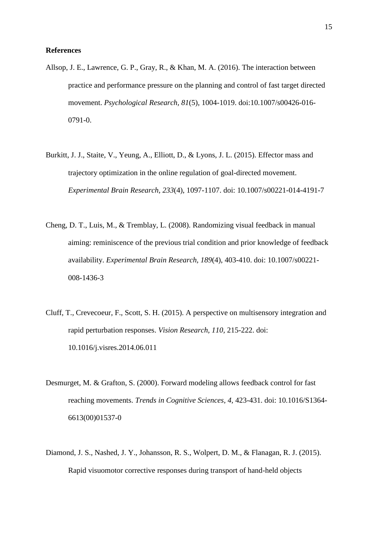#### **References**

- Allsop, J. E., Lawrence, G. P., Gray, R., & Khan, M. A. (2016). The interaction between practice and performance pressure on the planning and control of fast target directed movement. *Psychological Research, 81*(5), 1004-1019. doi:10.1007/s00426-016- 0791-0.
- Burkitt, J. J., Staite, V., Yeung, A., Elliott, D., & Lyons, J. L. (2015). Effector mass and trajectory optimization in the online regulation of goal-directed movement. *Experimental Brain Research, 233*(4), 1097-1107. doi: 10.1007/s00221-014-4191-7
- Cheng, D. T., Luis, M., & Tremblay, L. (2008). Randomizing visual feedback in manual aiming: reminiscence of the previous trial condition and prior knowledge of feedback availability. *Experimental Brain Research, 189*(4), 403-410. doi: 10.1007/s00221- 008-1436-3
- Cluff, T., Crevecoeur, F., Scott, S. H. (2015). A perspective on multisensory integration and rapid perturbation responses. *Vision Research, 110,* 215-222. doi: 10.1016/j.visres.2014.06.011
- Desmurget, M. & Grafton, S. (2000). Forward modeling allows feedback control for fast reaching movements. *Trends in Cognitive Sciences, 4,* 423-431. doi: 10.1016/S1364- 6613(00)01537-0
- Diamond, J. S., Nashed, J. Y., Johansson, R. S., Wolpert, D. M., & Flanagan, R. J. (2015). Rapid visuomotor corrective responses during transport of hand-held objects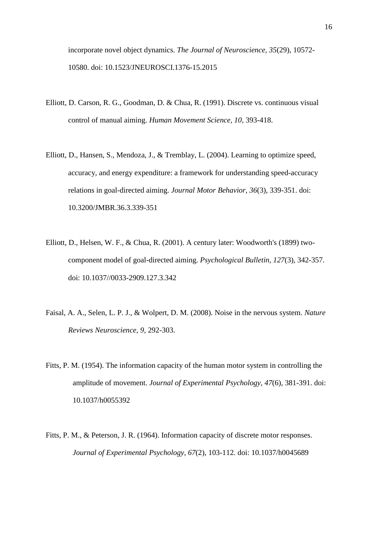incorporate novel object dynamics. *The Journal of Neuroscience, 35*(29), 10572- 10580. doi: 10.1523/JNEUROSCI.1376-15.2015

- Elliott, D. Carson, R. G., Goodman, D. & Chua, R. (1991). Discrete vs. continuous visual control of manual aiming. *Human Movement Science, 10,* 393-418.
- Elliott, D., Hansen, S., Mendoza, J., & Tremblay, L. (2004). Learning to optimize speed, accuracy, and energy expenditure: a framework for understanding speed-accuracy relations in goal-directed aiming. *Journal Motor Behavior, 36*(3), 339-351. doi: 10.3200/JMBR.36.3.339-351
- Elliott, D., Helsen, W. F., & Chua, R. (2001). A century later: Woodworth's (1899) twocomponent model of goal-directed aiming. *Psychological Bulletin, 127*(3), 342-357. doi: 10.1037//0033-2909.127.3.342
- Faisal, A. A., Selen, L. P. J., & Wolpert, D. M. (2008). Noise in the nervous system. *Nature Reviews Neuroscience, 9,* 292-303.
- Fitts, P. M. (1954). The information capacity of the human motor system in controlling the amplitude of movement. *Journal of Experimental Psychology, 47*(6), 381-391. doi: 10.1037/h0055392
- Fitts, P. M., & Peterson, J. R. (1964). Information capacity of discrete motor responses. *Journal of Experimental Psychology, 67*(2), 103-112. doi: 10.1037/h0045689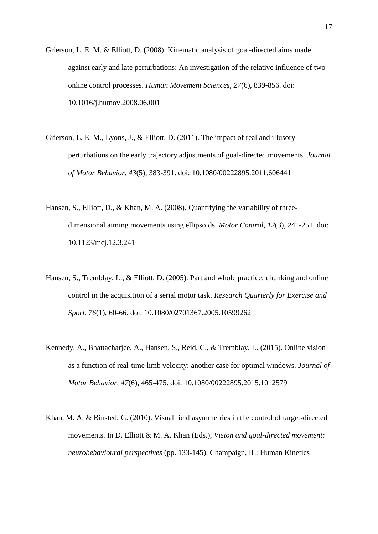- Grierson, L. E. M. & Elliott, D. (2008). Kinematic analysis of goal-directed aims made against early and late perturbations: An investigation of the relative influence of two online control processes. *Human Movement Sciences, 27*(6), 839-856. doi: 10.1016/j.humov.2008.06.001
- Grierson, L. E. M., Lyons, J., & Elliott, D. (2011). The impact of real and illusory perturbations on the early trajectory adjustments of goal-directed movements*. Journal of Motor Behavior, 43*(5)*,* 383-391. doi: 10.1080/00222895.2011.606441
- Hansen, S., Elliott, D., & Khan, M. A. (2008). Quantifying the variability of threedimensional aiming movements using ellipsoids. *Motor Control, 12*(3), 241-251. doi: 10.1123/mcj.12.3.241
- Hansen, S., Tremblay, L., & Elliott, D. (2005). Part and whole practice: chunking and online control in the acquisition of a serial motor task. *Research Quarterly for Exercise and Sport, 76*(1), 60-66. doi: 10.1080/02701367.2005.10599262
- Kennedy, A., Bhattacharjee, A., Hansen, S., Reid, C., & Tremblay, L. (2015). Online vision as a function of real-time limb velocity: another case for optimal windows. *Journal of Motor Behavior, 47*(6), 465-475. doi: 10.1080/00222895.2015.1012579
- Khan, M. A. & Binsted, G. (2010). Visual field asymmetries in the control of target-directed movements. In D. Elliott & M. A. Khan (Eds.), *Vision and goal-directed movement: neurobehavioural perspectives* (pp. 133-145). Champaign, IL: Human Kinetics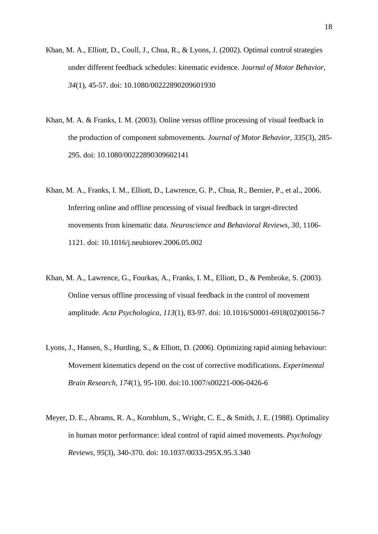- Khan, M. A., Elliott, D., Coull, J., Chua, R., & Lyons, J. (2002). Optimal control strategies under different feedback schedules: kinematic evidence. *Journal of Motor Behavior, 34*(1), 45-57. doi: 10.1080/00222890209601930
- Khan, M. A. & Franks, I. M. (2003). Online versus offline processing of visual feedback in the production of component submovements. *Journal of Motor Behavior, 335*(3), 285- 295. doi: 10.1080/00222890309602141
- Khan, M. A., Franks, I. M., Elliott, D., Lawrence, G. P., Chua, R., Bernier, P., et al., 2006. Inferring online and offline processing of visual feedback in target-directed movements from kinematic data. *Neuroscience and Behavioral Reviews, 30,* 1106- 1121. doi: 10.1016/j.neubiorev.2006.05.002
- Khan, M. A., Lawrence, G., Fourkas, A., Franks, I. M., Elliott, D., & Pembroke, S. (2003). Online versus offline processing of visual feedback in the control of movement amplitude. *Acta Psychologica, 113*(1), 83-97. doi: 10.1016/S0001-6918(02)00156-7
- Lyons, J., Hansen, S., Hurding, S., & Elliott, D. (2006). Optimizing rapid aiming behaviour: Movement kinematics depend on the cost of corrective modifications. *Experimental Brain Research, 174*(1), 95-100. doi:10.1007/s00221-006-0426-6
- Meyer, D. E., Abrams, R. A., Kornblum, S., Wright, C. E., & Smith, J. E. (1988). Optimality in human motor performance: ideal control of rapid aimed movements. *Psychology Reviews, 95*(3), 340-370. doi: 10.1037/0033-295X.95.3.340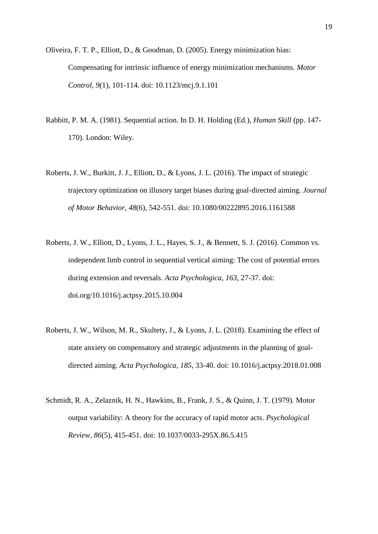Oliveira, F. T. P., Elliott, D., & Goodman, D. (2005). Energy minimization bias: Compensating for intrinsic influence of energy minimization mechanisms. *Motor Control, 9*(1)*,* 101-114. doi: 10.1123/mcj.9.1.101

- Rabbitt, P. M. A. (1981). Sequential action. In D. H. Holding (Ed.), *Human Skill* (pp. 147- 170). London: Wiley.
- Roberts, J. W., Burkitt, J. J., Elliott, D., & Lyons, J. L. (2016). The impact of strategic trajectory optimization on illusory target biases during goal-directed aiming. *Journal of Motor Behavior, 48*(6), 542-551. doi: 10.1080/00222895.2016.1161588
- Roberts, J. W., Elliott, D., Lyons, J. L., Hayes, S. J., & Bennett, S. J. (2016). Common vs. independent limb control in sequential vertical aiming: The cost of potential errors during extension and reversals. *Acta Psychologica, 163*, 27-37. doi: doi.org/10.1016/j.actpsy.2015.10.004
- Roberts, J. W., Wilson, M. R., Skultety, J., & Lyons, J. L. (2018). Examining the effect of state anxiety on compensatory and strategic adjustments in the planning of goaldirected aiming. *Acta Psychologica, 185,* 33-40. doi: 10.1016/j.actpsy.2018.01.008
- Schmidt, R. A., Zelaznik, H. N., Hawkins, B., Frank, J. S., & Quinn, J. T. (1979). Motor output variability: A theory for the accuracy of rapid motor acts. *Psychological Review, 86*(5), 415-451. doi: 10.1037/0033-295X.86.5.415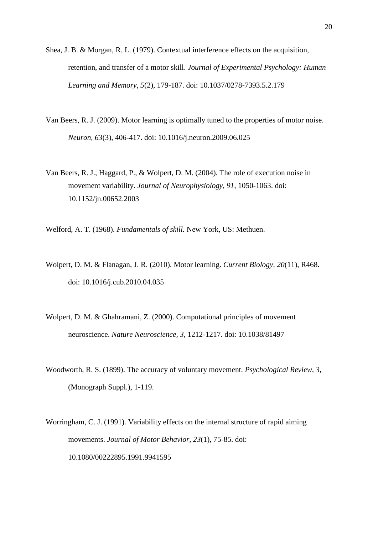- Shea, J. B. & Morgan, R. L. (1979). Contextual interference effects on the acquisition, retention, and transfer of a motor skill. *Journal of Experimental Psychology: Human Learning and Memory, 5*(2), 179-187. doi: 10.1037/0278-7393.5.2.179
- Van Beers, R. J. (2009). Motor learning is optimally tuned to the properties of motor noise. *Neuron, 63*(3), 406-417. doi: 10.1016/j.neuron.2009.06.025
- Van Beers, R. J., Haggard, P., & Wolpert, D. M. (2004). The role of execution noise in movement variability. *Journal of Neurophysiology, 91,* 1050-1063. doi: 10.1152/jn.00652.2003
- Welford, A. T. (1968). *Fundamentals of skill.* New York, US: Methuen.
- Wolpert, D. M. & Flanagan, J. R. (2010). Motor learning. *Current Biology, 20*(11), R468. doi: 10.1016/j.cub.2010.04.035
- Wolpert, D. M. & Ghahramani, Z. (2000). Computational principles of movement neuroscience. *Nature Neuroscience, 3,* 1212-1217. doi: 10.1038/81497
- Woodworth, R. S. (1899). The accuracy of voluntary movement. *Psychological Review, 3,* (Monograph Suppl.), 1-119.
- Worringham, C. J. (1991). Variability effects on the internal structure of rapid aiming movements. *Journal of Motor Behavior, 23*(1), 75-85. doi: 10.1080/00222895.1991.9941595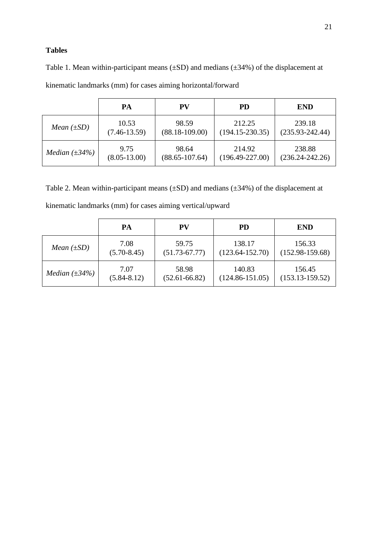# **Tables**

Table 1. Mean within-participant means  $(\pm SD)$  and medians  $(\pm 34\%)$  of the displacement at kinematic landmarks (mm) for cases aiming horizontal/forward

|                            | PA               | <b>PV</b>          | <b>PD</b>           | <b>END</b>          |
|----------------------------|------------------|--------------------|---------------------|---------------------|
| <i>Mean</i> $(\pm SD)$     | 10.53            | 98.59              | 212.25              | 239.18              |
|                            | $(7.46 - 13.59)$ | $(88.18 - 109.00)$ | $(194.15 - 230.35)$ | $(235.93 - 242.44)$ |
| <i>Median</i> $(\pm 34\%)$ | 9.75             | 98.64              | 214.92              | 238.88              |
|                            | $(8.05 - 13.00)$ | $(88.65 - 107.64)$ | $(196.49 - 227.00)$ | $(236.24 - 242.26)$ |

Table 2. Mean within-participant means (±SD) and medians (±34%) of the displacement at kinematic landmarks (mm) for cases aiming vertical/upward

|                            | PA              | <b>PV</b>         | <b>PD</b>           | <b>END</b>          |
|----------------------------|-----------------|-------------------|---------------------|---------------------|
| <i>Mean</i> $(\pm SD)$     | 7.08            | 59.75             | 138.17              | 156.33              |
|                            | $(5.70 - 8.45)$ | $(51.73 - 67.77)$ | $(123.64 - 152.70)$ | $(152.98-159.68)$   |
| <i>Median</i> $(\pm 34\%)$ | 7.07            | 58.98             | 140.83              | 156.45              |
|                            | $(5.84 - 8.12)$ | $(52.61 - 66.82)$ | $(124.86 - 151.05)$ | $(153.13 - 159.52)$ |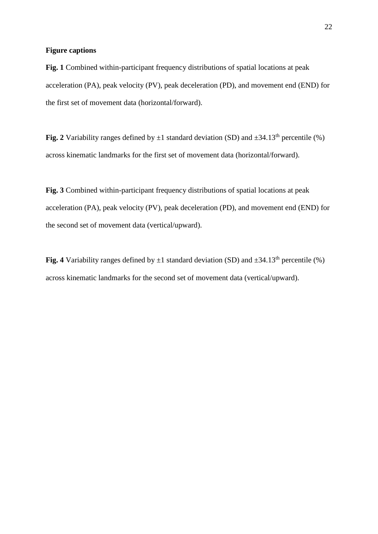## **Figure captions**

**Fig. 1** Combined within-participant frequency distributions of spatial locations at peak acceleration (PA), peak velocity (PV), peak deceleration (PD), and movement end (END) for the first set of movement data (horizontal/forward).

**Fig. 2** Variability ranges defined by  $\pm 1$  standard deviation (SD) and  $\pm 34.13^{\text{th}}$  percentile (%) across kinematic landmarks for the first set of movement data (horizontal/forward).

**Fig. 3** Combined within-participant frequency distributions of spatial locations at peak acceleration (PA), peak velocity (PV), peak deceleration (PD), and movement end (END) for the second set of movement data (vertical/upward).

**Fig. 4** Variability ranges defined by  $\pm 1$  standard deviation (SD) and  $\pm 34.13^{\text{th}}$  percentile (%) across kinematic landmarks for the second set of movement data (vertical/upward).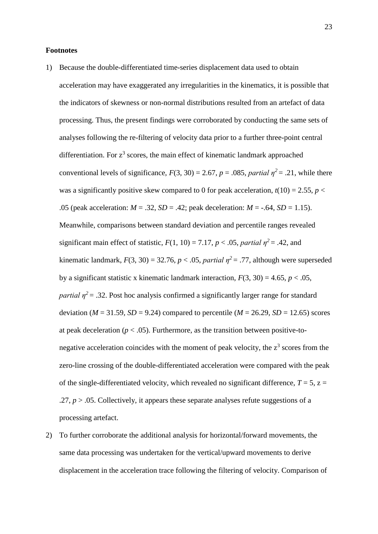#### **Footnotes**

- 1) Because the double-differentiated time-series displacement data used to obtain acceleration may have exaggerated any irregularities in the kinematics, it is possible that the indicators of skewness or non-normal distributions resulted from an artefact of data processing. Thus, the present findings were corroborated by conducting the same sets of analyses following the re-filtering of velocity data prior to a further three-point central differentiation. For  $z^3$  scores, the main effect of kinematic landmark approached conventional levels of significance,  $F(3, 30) = 2.67$ ,  $p = .085$ , *partial*  $\eta^2 = .21$ , while there was a significantly positive skew compared to 0 for peak acceleration,  $t(10) = 2.55$ ,  $p <$ .05 (peak acceleration:  $M = .32$ ,  $SD = .42$ ; peak deceleration:  $M = -.64$ ,  $SD = 1.15$ ). Meanwhile, comparisons between standard deviation and percentile ranges revealed significant main effect of statistic,  $F(1, 10) = 7.17$ ,  $p < .05$ , *partial*  $\eta^2 = .42$ , and kinematic landmark,  $F(3, 30) = 32.76$ ,  $p < .05$ , *partial*  $\eta^2 = .77$ , although were superseded by a significant statistic x kinematic landmark interaction,  $F(3, 30) = 4.65$ ,  $p < .05$ , *partial*  $n^2$  = .32. Post hoc analysis confirmed a significantly larger range for standard deviation ( $M = 31.59$ ,  $SD = 9.24$ ) compared to percentile ( $M = 26.29$ ,  $SD = 12.65$ ) scores at peak deceleration ( $p < .05$ ). Furthermore, as the transition between positive-tonegative acceleration coincides with the moment of peak velocity, the  $z<sup>3</sup>$  scores from the zero-line crossing of the double-differentiated acceleration were compared with the peak of the single-differentiated velocity, which revealed no significant difference,  $T = 5$ ,  $z =$ .27,  $p > 0.05$ . Collectively, it appears these separate analyses refute suggestions of a processing artefact.
- 2) To further corroborate the additional analysis for horizontal/forward movements, the same data processing was undertaken for the vertical/upward movements to derive displacement in the acceleration trace following the filtering of velocity. Comparison of